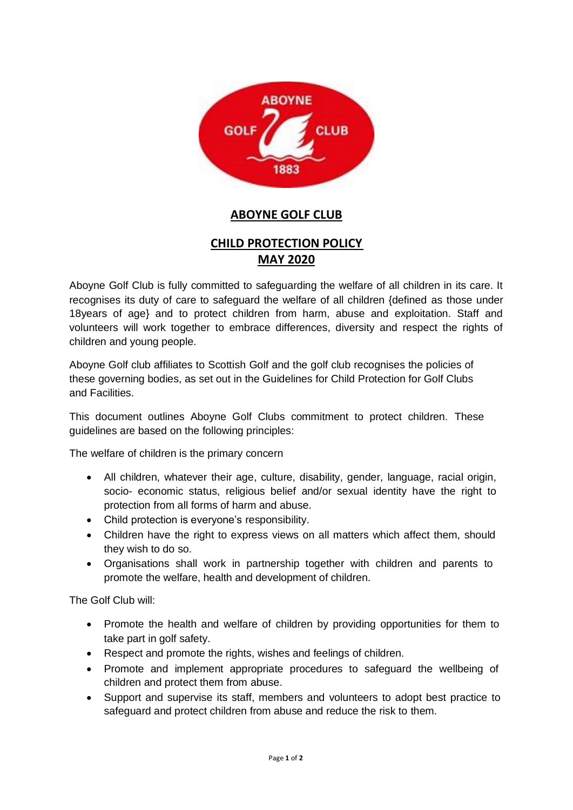

## **ABOYNE GOLF CLUB**

## **CHILD PROTECTION POLICY MAY 2020**

Aboyne Golf Club is fully committed to safeguarding the welfare of all children in its care. It recognises its duty of care to safeguard the welfare of all children {defined as those under 18years of age} and to protect children from harm, abuse and exploitation. Staff and volunteers will work together to embrace differences, diversity and respect the rights of children and young people.

Aboyne Golf club affiliates to Scottish Golf and the golf club recognises the policies of these governing bodies, as set out in the Guidelines for Child Protection for Golf Clubs and Facilities.

This document outlines Aboyne Golf Clubs commitment to protect children. These guidelines are based on the following principles:

The welfare of children is the primary concern

- All children, whatever their age, culture, disability, gender, language, racial origin, socio- economic status, religious belief and/or sexual identity have the right to protection from all forms of harm and abuse.
- Child protection is everyone's responsibility.
- Children have the right to express views on all matters which affect them, should they wish to do so.
- Organisations shall work in partnership together with children and parents to promote the welfare, health and development of children.

The Golf Club will:

- Promote the health and welfare of children by providing opportunities for them to take part in golf safety.
- Respect and promote the rights, wishes and feelings of children.
- Promote and implement appropriate procedures to safeguard the wellbeing of children and protect them from abuse.
- Support and supervise its staff, members and volunteers to adopt best practice to safeguard and protect children from abuse and reduce the risk to them.